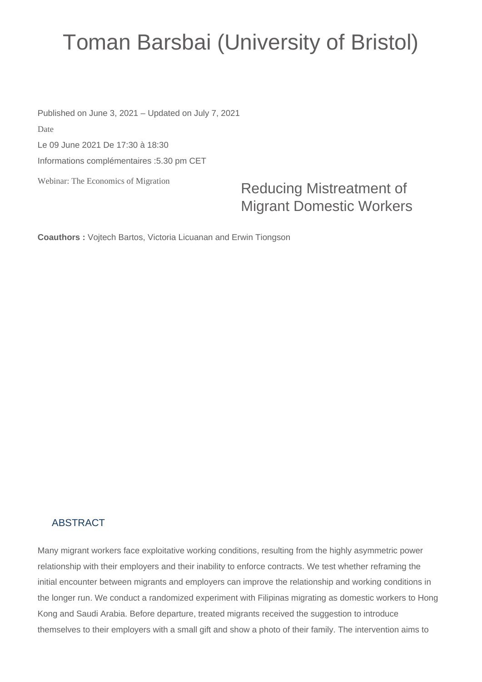## Toman Barsbai (University of Bristol)

Webinar: The Economics of Migration Published on June 3, 2021 – Updated on July 7, 2021 Date Le 09 June 2021 De 17:30 à 18:30 Informations complémentaires :5.30 pm CET

Reducing Mistreatment of Migrant Domestic Workers

**Coauthors :** Vojtech Bartos, Victoria Licuanan and Erwin Tiongson

## ABSTRACT

Many migrant workers face exploitative working conditions, resulting from the highly asymmetric power relationship with their employers and their inability to enforce contracts. We test whether reframing the initial encounter between migrants and employers can improve the relationship and working conditions in the longer run. We conduct a randomized experiment with Filipinas migrating as domestic workers to Hong Kong and Saudi Arabia. Before departure, treated migrants received the suggestion to introduce themselves to their employers with a small gift and show a photo of their family. The intervention aims to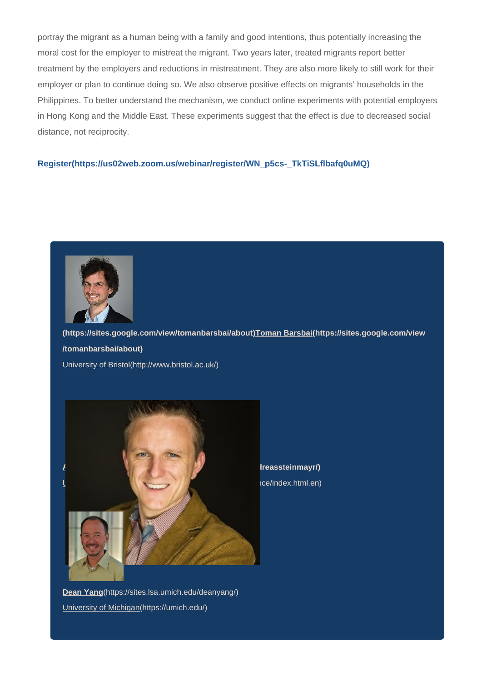portray the migrant as a human being with a family and good intentions, thus potentially increasing the moral cost for the employer to mistreat the migrant. Two years later, treated migrants report better treatment by the employers and reductions in mistreatment. They are also more likely to still work for their employer or plan to continue doing so. We also observe positive effects on migrants' households in the Philippines. To better understand the mechanism, we conduct online experiments with potential employers in Hong Kong and the Middle East. These experiments suggest that the effect is due to decreased social distance, not reciprocity.

## **[Register\(https://us02web.zoom.us/webinar/register/WN\\_p5cs-\\_TkTiSLflbafq0uMQ\)](https://us02web.zoom.us/webinar/register/WN_p5cs-_TkTiSLflbafq0uMQ)**



**[\(https://sites.google.com/view/tomanbarsbai/about\)Toman Barsbai\(https://sites.google.com/view](https://sites.google.com/view/tomanbarsbai/about) [/tomanbarsbai/about\)](https://sites.google.com/view/tomanbarsbai/about)**

[University of Bristol\(http://www.bristol.ac.uk/\)](http://www.bristol.ac.uk/)



*Andreas Steinmayr/)* uce/index.html.en)

**Dean Yang**[\(https://sites.lsa.umich.edu/deanyang/\)](https://sites.lsa.umich.edu/deanyang/) [University of Michigan\(https://umich.edu/\)](https://umich.edu/)